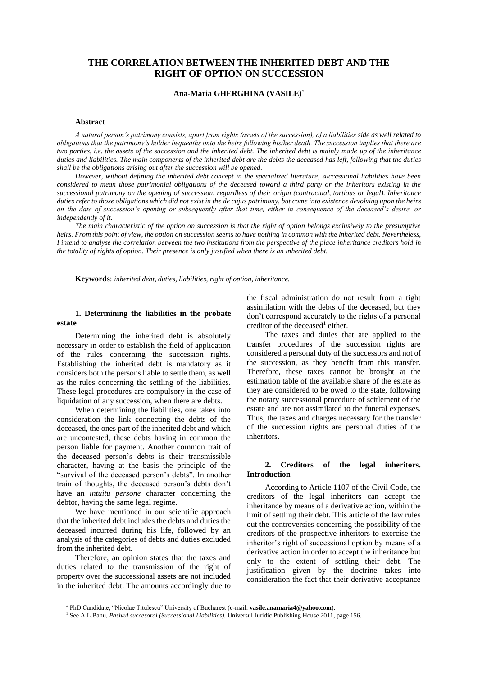# **THE CORRELATION BETWEEN THE INHERITED DEBT AND THE RIGHT OF OPTION ON SUCCESSION**

### **Ana-Maria GHERGHINA (VASILE) \***

#### **Abstract**

*A natural person's patrimony consists, apart from rights (assets of the succession), of a liabilities side as well related to obligations that the patrimony's holder bequeaths onto the heirs following his/her death. The succession implies that there are two parties, i.e. the assets of the succession and the inherited debt. The inherited debt is mainly made up of the inheritance duties and liabilities. The main components of the inherited debt are the debts the deceased has left, following that the duties shall be the obligations arising out after the succession will be opened.*

*However, without defining the inherited debt concept in the specialized literature, successional liabilities have been considered to mean those patrimonial obligations of the deceased toward a third party or the inheritors existing in the successional patrimony on the opening of succession, regardless of their origin (contractual, tortious or legal). Inheritance duties refer to those obligations which did not exist in the de cujus patrimony, but come into existence devolving upon the heirs on the date of succession's opening or subsequently after that time, either in consequence of the deceased's desire, or independently of it.*

*The main characteristic of the option on succession is that the right of option belongs exclusively to the presumptive heirs. From this point of view, the option on succession seems to have nothing in common with the inherited debt. Nevertheless, I intend to analyse the correlation between the two institutions from the perspective of the place inheritance creditors hold in the totality of rights of option. Their presence is only justified when there is an inherited debt.*

**Keywords**: *inherited debt, duties, liabilities, right of option, inheritance.*

## **1. Determining the liabilities in the probate estate**

Determining the inherited debt is absolutely necessary in order to establish the field of application of the rules concerning the succession rights. Establishing the inherited debt is mandatory as it considers both the persons liable to settle them, as well as the rules concerning the settling of the liabilities. These legal procedures are compulsory in the case of liquidation of any succession, when there are debts.

When determining the liabilities, one takes into consideration the link connecting the debts of the deceased, the ones part of the inherited debt and which are uncontested, these debts having in common the person liable for payment. Another common trait of the deceased person's debts is their transmissible character, having at the basis the principle of the "survival of the deceased person's debts". In another train of thoughts, the deceased person's debts don't have an *intuitu persone* character concerning the debtor, having the same legal regime.

We have mentioned in our scientific approach that the inherited debt includes the debts and duties the deceased incurred during his life, followed by an analysis of the categories of debts and duties excluded from the inherited debt.

Therefore, an opinion states that the taxes and duties related to the transmission of the right of property over the successional assets are not included in the inherited debt. The amounts accordingly due to

 $\overline{a}$ 

the fiscal administration do not result from a tight assimilation with the debts of the deceased, but they don't correspond accurately to the rights of a personal creditor of the deceased<sup>1</sup> either.

The taxes and duties that are applied to the transfer procedures of the succession rights are considered a personal duty of the successors and not of the succession, as they benefit from this transfer. Therefore, these taxes cannot be brought at the estimation table of the available share of the estate as they are considered to be owed to the state, following the notary successional procedure of settlement of the estate and are not assimilated to the funeral expenses. Thus, the taxes and charges necessary for the transfer of the succession rights are personal duties of the inheritors.

## **2. Creditors of the legal inheritors. Introduction**

According to Article 1107 of the Civil Code, the creditors of the legal inheritors can accept the inheritance by means of a derivative action, within the limit of settling their debt. This article of the law rules out the controversies concerning the possibility of the creditors of the prospective inheritors to exercise the inheritor's right of successional option by means of a derivative action in order to accept the inheritance but only to the extent of settling their debt. The justification given by the doctrine takes into consideration the fact that their derivative acceptance

PhD Candidate, "Nicolae Titulescu" University of Bucharest (e-mail: **vasile.anamaria4@yahoo.com**).

<sup>1</sup> See A.L.Banu, *Pasivul succesoral (Successional Liabilities),* Universul Juridic Publishing House 2011*,* page 156.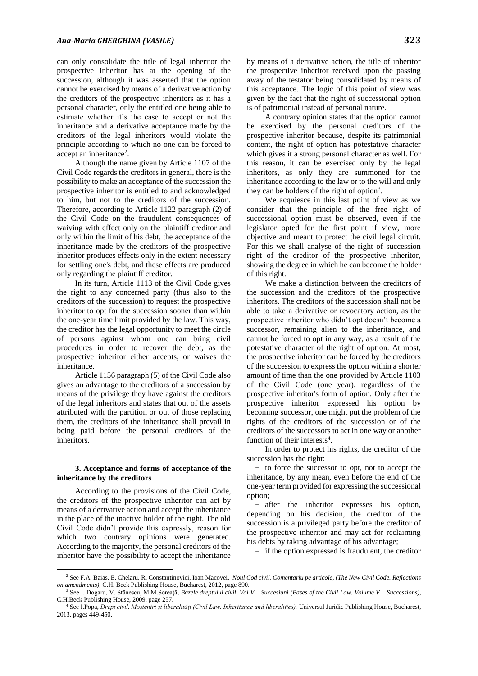can only consolidate the title of legal inheritor the prospective inheritor has at the opening of the succession, although it was asserted that the option cannot be exercised by means of a derivative action by the creditors of the prospective inheritors as it has a personal character, only the entitled one being able to estimate whether it's the case to accept or not the inheritance and a derivative acceptance made by the creditors of the legal inheritors would violate the principle according to which no one can be forced to accept an inheritance<sup>2</sup>.

Although the name given by Article 1107 of the Civil Code regards the creditors in general, there is the possibility to make an acceptance of the succession the prospective inheritor is entitled to and acknowledged to him, but not to the creditors of the succession. Therefore, according to Article 1122 paragraph (2) of the Civil Code on the fraudulent consequences of waiving with effect only on the plaintiff creditor and only within the limit of his debt, the acceptance of the inheritance made by the creditors of the prospective inheritor produces effects only in the extent necessary for settling one's debt, and these effects are produced only regarding the plaintiff creditor.

In its turn, Article 1113 of the Civil Code gives the right to any concerned party (thus also to the creditors of the succession) to request the prospective inheritor to opt for the succession sooner than within the one-year time limit provided by the law. This way, the creditor has the legal opportunity to meet the circle of persons against whom one can bring civil procedures in order to recover the debt, as the prospective inheritor either accepts, or waives the inheritance.

Article 1156 paragraph (5) of the Civil Code also gives an advantage to the creditors of a succession by means of the privilege they have against the creditors of the legal inheritors and states that out of the assets attributed with the partition or out of those replacing them, the creditors of the inheritance shall prevail in being paid before the personal creditors of the inheritors.

#### **3. Acceptance and forms of acceptance of the inheritance by the creditors**

According to the provisions of the Civil Code, the creditors of the prospective inheritor can act by means of a derivative action and accept the inheritance in the place of the inactive holder of the right. The old Civil Code didn't provide this expressly, reason for which two contrary opinions were generated. According to the majority, the personal creditors of the inheritor have the possibility to accept the inheritance

 $\overline{a}$ 

A contrary opinion states that the option cannot be exercised by the personal creditors of the prospective inheritor because, despite its patrimonial content, the right of option has potestative character which gives it a strong personal character as well. For this reason, it can be exercised only by the legal inheritors, as only they are summoned for the inheritance according to the law or to the will and only they can be holders of the right of option<sup>3</sup>.

We acquiesce in this last point of view as we consider that the principle of the free right of successional option must be observed, even if the legislator opted for the first point if view, more objective and meant to protect the civil legal circuit. For this we shall analyse of the right of succession right of the creditor of the prospective inheritor, showing the degree in which he can become the holder of this right.

We make a distinction between the creditors of the succession and the creditors of the prospective inheritors. The creditors of the succession shall not be able to take a derivative or revocatory action, as the prospective inheritor who didn't opt doesn't become a successor, remaining alien to the inheritance, and cannot be forced to opt in any way, as a result of the potestative character of the right of option. At most, the prospective inheritor can be forced by the creditors of the succession to express the option within a shorter amount of time than the one provided by Article 1103 of the Civil Code (one year), regardless of the prospective inheritor's form of option. Only after the prospective inheritor expressed his option by becoming successor, one might put the problem of the rights of the creditors of the succession or of the creditors of the successors to act in one way or another function of their interests<sup>4</sup>.

In order to protect his rights, the creditor of the succession has the right:

- to force the successor to opt, not to accept the inheritance, by any mean, even before the end of the one-year term provided for expressing the successional option;

- after the inheritor expresses his option, depending on his decision, the creditor of the succession is a privileged party before the creditor of the prospective inheritor and may act for reclaiming his debts by taking advantage of his advantage;

- if the option expressed is fraudulent, the creditor

<sup>2</sup> See F.A. Baias, E. Chelaru, R. Constantinovici, Ioan Macovei, *Noul Cod civil. Comentariu pe articole, (The New Civil Code. Reflections on amendments)*, C.H. Beck Publishing House, Bucharest, 2012*,* page 890.

<sup>3</sup> See I. Dogaru, V. Stănescu, M.M.Soreaţă, *Bazele dreptului civil. Vol V – Succesiuni (Bases of the Civil Law. Volume V – Successions)*, C.H.Beck Publishing House, 2009, page 257.

<sup>4</sup> See I.Popa, *Drept civil. Moşteniri şi liberalităţi (Civil Law. Inheritance and liberalities),* Universul Juridic Publishing House, Bucharest, 2013*,* pages 449-450.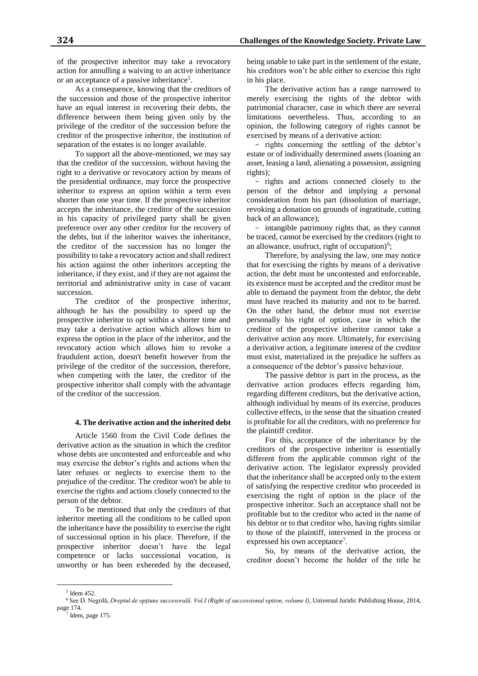of the prospective inheritor may take a revocatory action for annulling a waiving to an active inheritance or an acceptance of a passive inheritance<sup>5</sup>.

As a consequence, knowing that the creditors of the succession and those of the prospective inheritor have an equal interest in recovering their debts, the difference between them being given only by the privilege of the creditor of the succession before the creditor of the prospective inheritor, the institution of separation of the estates is no longer available.

To support all the above-mentioned, we may say that the creditor of the succession, without having the right to a derivative or revocatory action by means of the presidential ordinance, may force the prospective inheritor to express an option within a term even shorter than one year time. If the prospective inheritor accepts the inheritance, the creditor of the succession in his capacity of privileged party shall be given preference over any other creditor for the recovery of the debts, but if the inheritor waives the inheritance, the creditor of the succession has no longer the possibility to take a revocatory action and shall redirect his action against the other inheritors accepting the inheritance, if they exist, and if they are not against the territorial and administrative unity in case of vacant succession.

The creditor of the prospective inheritor, although he has the possibility to speed up the prospective inheritor to opt within a shorter time and may take a derivative action which allows him to express the option in the place of the inheritor, and the revocatory action which allows him to revoke a fraudulent action, doesn't benefit however from the privilege of the creditor of the succession, therefore, when competing with the later, the creditor of the prospective inheritor shall comply with the advantage of the creditor of the succession.

#### **4. The derivative action and the inherited debt**

Article 1560 from the Civil Code defines the derivative action as the situation in which the creditor whose debts are uncontested and enforceable and who may exercise the debtor's rights and actions when the later refuses or neglects to exercise them to the prejudice of the creditor. The creditor won't be able to exercise the rights and actions closely connected to the person of the debtor.

To be mentioned that only the creditors of that inheritor meeting all the conditions to be called upon the inheritance have the possibility to exercise the right of successional option in his place. Therefore, if the prospective inheritor doesn't have the legal competence or lacks successional vocation, is unworthy or has been exhereded by the deceased,

being unable to take part in the settlement of the estate, his creditors won't be able either to exercise this right in his place.

The derivative action has a range narrowed to merely exercising the rights of the debtor with patrimonial character, case in which there are several limitations nevertheless. Thus, according to an opinion, the following category of rights cannot be exercised by means of a derivative action:

- rights concerning the settling of the debtor's estate or of individually determined assets (loaning an asset, leasing a land, alienating a possession, assigning rights);

- rights and actions connected closely to the person of the debtor and implying a personal consideration from his part (dissolution of marriage, revoking a donation on grounds of ingratitude, cutting back of an allowance);

- intangible patrimony rights that, as they cannot be traced, cannot be exercised by the creditors (right to an allowance, usufruct, right of occupation) $6$ ;

Therefore, by analysing the law, one may notice that for exercising the rights by means of a derivative action, the debt must be uncontested and enforceable, its existence must be accepted and the creditor must be able to demand the payment from the debtor, the debt must have reached its maturity and not to be barred. On the other hand, the debtor must not exercise personally his right of option, case in which the creditor of the prospective inheritor cannot take a derivative action any more. Ultimately, for exercising a derivative action, a legitimate interest of the creditor must exist, materialized in the prejudice he suffers as a consequence of the debtor's passive behaviour.

The passive debtor is part in the process, as the derivative action produces effects regarding him, regarding different creditors, but the derivative action, although individual by means of its exercise, produces collective effects, in the sense that the situation created is profitable for all the creditors, with no preference for the plaintiff creditor.

For this, acceptance of the inheritance by the creditors of the prospective inheritor is essentially different from the applicable common right of the derivative action. The legislator expressly provided that the inheritance shall be accepted only to the extent of satisfying the respective creditor who proceeded in exercising the right of option in the place of the prospective inheritor. Such an acceptance shall not be profitable but to the creditor who acted in the name of his debtor or to that creditor who, having rights similar to those of the plaintiff, intervened in the process or expressed his own acceptance<sup>7</sup>.

So, by means of the derivative action, the creditor doesn't become the holder of the title he

 $\overline{a}$ 

<sup>5</sup> Idem 452.

<sup>6</sup> See D. Negrilă, *Dreptul de opţiune succesorală. Vol.I (Right of successional option, volume I)*, Universul Juridic Publishing House, 2014, page 174.

<sup>7</sup> Idem, page 175.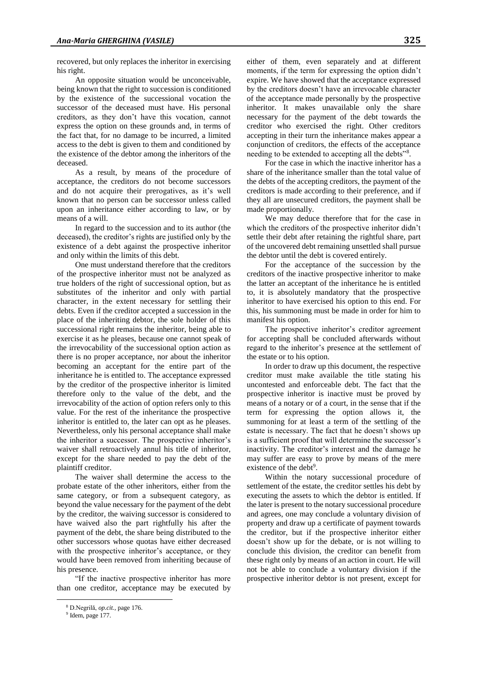recovered, but only replaces the inheritor in exercising his right.

An opposite situation would be unconceivable, being known that the right to succession is conditioned by the existence of the successional vocation the successor of the deceased must have. His personal creditors, as they don't have this vocation, cannot express the option on these grounds and, in terms of the fact that, for no damage to be incurred, a limited access to the debt is given to them and conditioned by the existence of the debtor among the inheritors of the deceased.

As a result, by means of the procedure of acceptance, the creditors do not become successors and do not acquire their prerogatives, as it's well known that no person can be successor unless called upon an inheritance either according to law, or by means of a will.

In regard to the succession and to its author (the deceased), the creditor's rights are justified only by the existence of a debt against the prospective inheritor and only within the limits of this debt.

One must understand therefore that the creditors of the prospective inheritor must not be analyzed as true holders of the right of successional option, but as substitutes of the inheritor and only with partial character, in the extent necessary for settling their debts. Even if the creditor accepted a succession in the place of the inheriting debtor, the sole holder of this successional right remains the inheritor, being able to exercise it as he pleases, because one cannot speak of the irrevocability of the successional option action as there is no proper acceptance, nor about the inheritor becoming an acceptant for the entire part of the inheritance he is entitled to. The acceptance expressed by the creditor of the prospective inheritor is limited therefore only to the value of the debt, and the irrevocability of the action of option refers only to this value. For the rest of the inheritance the prospective inheritor is entitled to, the later can opt as he pleases. Nevertheless, only his personal acceptance shall make the inheritor a successor. The prospective inheritor's waiver shall retroactively annul his title of inheritor, except for the share needed to pay the debt of the plaintiff creditor.

The waiver shall determine the access to the probate estate of the other inheritors, either from the same category, or from a subsequent category, as beyond the value necessary for the payment of the debt by the creditor, the waiving successor is considered to have waived also the part rightfully his after the payment of the debt, the share being distributed to the other successors whose quotas have either decreased with the prospective inheritor's acceptance, or they would have been removed from inheriting because of his presence.

"If the inactive prospective inheritor has more than one creditor, acceptance may be executed by

 $\overline{a}$ 

either of them, even separately and at different moments, if the term for expressing the option didn't expire. We have showed that the acceptance expressed by the creditors doesn't have an irrevocable character of the acceptance made personally by the prospective inheritor. It makes unavailable only the share necessary for the payment of the debt towards the creditor who exercised the right. Other creditors accepting in their turn the inheritance makes appear a conjunction of creditors, the effects of the acceptance needing to be extended to accepting all the debts"<sup>8</sup> .

For the case in which the inactive inheritor has a share of the inheritance smaller than the total value of the debts of the accepting creditors, the payment of the creditors is made according to their preference, and if they all are unsecured creditors, the payment shall be made proportionally.

We may deduce therefore that for the case in which the creditors of the prospective inheritor didn't settle their debt after retaining the rightful share, part of the uncovered debt remaining unsettled shall pursue the debtor until the debt is covered entirely.

For the acceptance of the succession by the creditors of the inactive prospective inheritor to make the latter an acceptant of the inheritance he is entitled to, it is absolutely mandatory that the prospective inheritor to have exercised his option to this end. For this, his summoning must be made in order for him to manifest his option.

The prospective inheritor's creditor agreement for accepting shall be concluded afterwards without regard to the inheritor's presence at the settlement of the estate or to his option.

In order to draw up this document, the respective creditor must make available the title stating his uncontested and enforceable debt. The fact that the prospective inheritor is inactive must be proved by means of a notary or of a court, in the sense that if the term for expressing the option allows it, the summoning for at least a term of the settling of the estate is necessary. The fact that he doesn't shows up is a sufficient proof that will determine the successor's inactivity. The creditor's interest and the damage he may suffer are easy to prove by means of the mere existence of the debt<sup>9</sup>.

Within the notary successional procedure of settlement of the estate, the creditor settles his debt by executing the assets to which the debtor is entitled. If the later is present to the notary successional procedure and agrees, one may conclude a voluntary division of property and draw up a certificate of payment towards the creditor, but if the prospective inheritor either doesn't show up for the debate, or is not willing to conclude this division, the creditor can benefit from these right only by means of an action in court. He will not be able to conclude a voluntary division if the prospective inheritor debtor is not present, except for

<sup>8</sup> D.Negrilă, *op.cit.,* page 176.

<sup>&</sup>lt;sup>9</sup> Idem, page 177.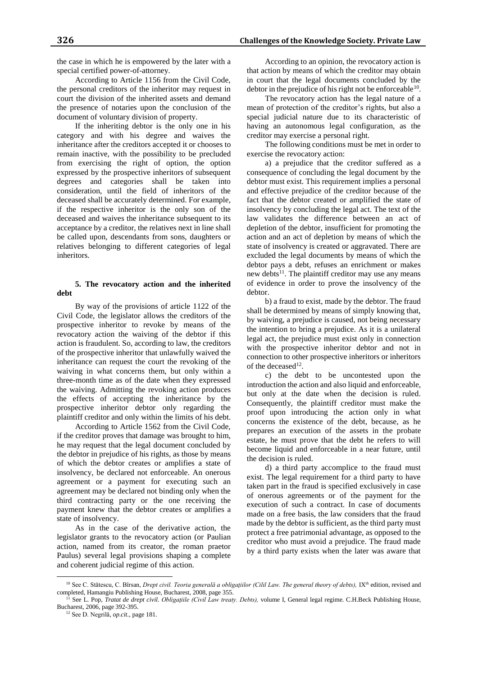the case in which he is empowered by the later with a special certified power-of-attorney.

According to Article 1156 from the Civil Code, the personal creditors of the inheritor may request in court the division of the inherited assets and demand the presence of notaries upon the conclusion of the document of voluntary division of property.

If the inheriting debtor is the only one in his category and with his degree and waives the inheritance after the creditors accepted it or chooses to remain inactive, with the possibility to be precluded from exercising the right of option, the option expressed by the prospective inheritors of subsequent degrees and categories shall be taken into consideration, until the field of inheritors of the deceased shall be accurately determined. For example, if the respective inheritor is the only son of the deceased and waives the inheritance subsequent to its acceptance by a creditor, the relatives next in line shall be called upon, descendants from sons, daughters or relatives belonging to different categories of legal inheritors.

## **5. The revocatory action and the inherited debt**

By way of the provisions of article 1122 of the Civil Code, the legislator allows the creditors of the prospective inheritor to revoke by means of the revocatory action the waiving of the debtor if this action is fraudulent. So, according to law, the creditors of the prospective inheritor that unlawfully waived the inheritance can request the court the revoking of the waiving in what concerns them, but only within a three-month time as of the date when they expressed the waiving. Admitting the revoking action produces the effects of accepting the inheritance by the prospective inheritor debtor only regarding the plaintiff creditor and only within the limits of his debt.

According to Article 1562 from the Civil Code, if the creditor proves that damage was brought to him, he may request that the legal document concluded by the debtor in prejudice of his rights, as those by means of which the debtor creates or amplifies a state of insolvency, be declared not enforceable. An onerous agreement or a payment for executing such an agreement may be declared not binding only when the third contracting party or the one receiving the payment knew that the debtor creates or amplifies a state of insolvency.

As in the case of the derivative action, the legislator grants to the revocatory action (or Paulian action, named from its creator, the roman praetor Paulus) several legal provisions shaping a complete and coherent judicial regime of this action.

According to an opinion, the revocatory action is that action by means of which the creditor may obtain in court that the legal documents concluded by the debtor in the prejudice of his right not be enforceable  $10$ .

The revocatory action has the legal nature of a mean of protection of the creditor's rights, but also a special judicial nature due to its characteristic of having an autonomous legal configuration, as the creditor may exercise a personal right.

The following conditions must be met in order to exercise the revocatory action:

a) a prejudice that the creditor suffered as a consequence of concluding the legal document by the debtor must exist. This requirement implies a personal and effective prejudice of the creditor because of the fact that the debtor created or amplified the state of insolvency by concluding the legal act. The text of the law validates the difference between an act of depletion of the debtor, insufficient for promoting the action and an act of depletion by means of which the state of insolvency is created or aggravated. There are excluded the legal documents by means of which the debtor pays a debt, refuses an enrichment or makes new debts<sup>11</sup>. The plaintiff creditor may use any means of evidence in order to prove the insolvency of the debtor.

b) a fraud to exist, made by the debtor. The fraud shall be determined by means of simply knowing that, by waiving, a prejudice is caused, not being necessary the intention to bring a prejudice. As it is a unilateral legal act, the prejudice must exist only in connection with the prospective inheritor debtor and not in connection to other prospective inheritors or inheritors of the deceased<sup>12</sup>.

c) the debt to be uncontested upon the introduction the action and also liquid and enforceable, but only at the date when the decision is ruled. Consequently, the plaintiff creditor must make the proof upon introducing the action only in what concerns the existence of the debt, because, as he prepares an execution of the assets in the probate estate, he must prove that the debt he refers to will become liquid and enforceable in a near future, until the decision is ruled.

d) a third party accomplice to the fraud must exist. The legal requirement for a third party to have taken part in the fraud is specified exclusively in case of onerous agreements or of the payment for the execution of such a contract. In case of documents made on a free basis, the law considers that the fraud made by the debtor is sufficient, as the third party must protect a free patrimonial advantage, as opposed to the creditor who must avoid a prejudice. The fraud made by a third party exists when the later was aware that

 $\overline{a}$ 

<sup>&</sup>lt;sup>10</sup> See C. Stătescu, C. Bîrsan, *Drept civil. Teoria generală a obligațiilor (Cilil Law. The general theory of debts)*, IX<sup>th</sup> edition, revised and completed, Hamangiu Publishing House, Bucharest, 2008, page 355.

See L. Pop, *Tratat de drept civil. Obligațiile (Civil Law treaty. Debts)*, volume I, General legal regime. C.H.Beck Publishing House, Bucharest, 2006, page 392-395.

<sup>12</sup> See D. Negrilă, *op.cit.,* page 181.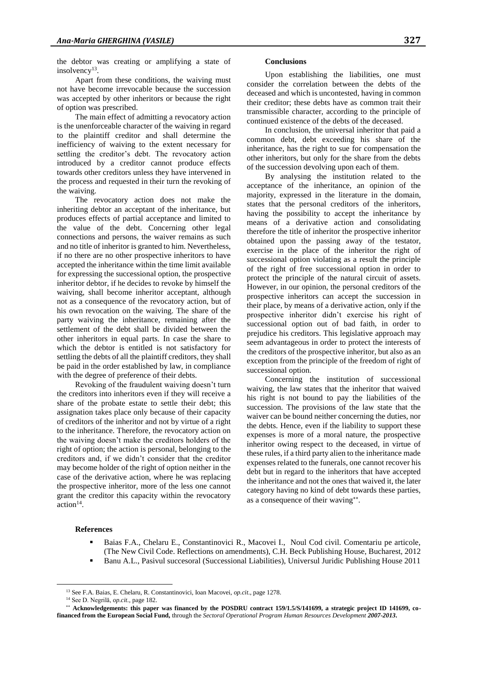the debtor was creating or amplifying a state of insolvency<sup>13</sup>.

Apart from these conditions, the waiving must not have become irrevocable because the succession was accepted by other inheritors or because the right of option was prescribed.

The main effect of admitting a revocatory action is the unenforceable character of the waiving in regard to the plaintiff creditor and shall determine the inefficiency of waiving to the extent necessary for settling the creditor's debt. The revocatory action introduced by a creditor cannot produce effects towards other creditors unless they have intervened in the process and requested in their turn the revoking of the waiving.

The revocatory action does not make the inheriting debtor an acceptant of the inheritance, but produces effects of partial acceptance and limited to the value of the debt. Concerning other legal connections and persons, the waiver remains as such and no title of inheritor is granted to him. Nevertheless, if no there are no other prospective inheritors to have accepted the inheritance within the time limit available for expressing the successional option, the prospective inheritor debtor, if he decides to revoke by himself the waiving, shall become inheritor acceptant, although not as a consequence of the revocatory action, but of his own revocation on the waiving. The share of the party waiving the inheritance, remaining after the settlement of the debt shall be divided between the other inheritors in equal parts. In case the share to which the debtor is entitled is not satisfactory for settling the debts of all the plaintiff creditors, they shall be paid in the order established by law, in compliance with the degree of preference of their debts.

Revoking of the fraudulent waiving doesn't turn the creditors into inheritors even if they will receive a share of the probate estate to settle their debt; this assignation takes place only because of their capacity of creditors of the inheritor and not by virtue of a right to the inheritance. Therefore, the revocatory action on the waiving doesn't make the creditors holders of the right of option; the action is personal, belonging to the creditors and, if we didn't consider that the creditor may become holder of the right of option neither in the case of the derivative action, where he was replacing the prospective inheritor, more of the less one cannot grant the creditor this capacity within the revocatory  $\arctan^{14}$ .

## **Conclusions**

Upon establishing the liabilities, one must consider the correlation between the debts of the deceased and which is uncontested, having in common their creditor; these debts have as common trait their transmissible character, according to the principle of continued existence of the debts of the deceased.

In conclusion, the universal inheritor that paid a common debt, debt exceeding his share of the inheritance, has the right to sue for compensation the other inheritors, but only for the share from the debts of the succession devolving upon each of them.

By analysing the institution related to the acceptance of the inheritance, an opinion of the majority, expressed in the literature in the domain, states that the personal creditors of the inheritors, having the possibility to accept the inheritance by means of a derivative action and consolidating therefore the title of inheritor the prospective inheritor obtained upon the passing away of the testator, exercise in the place of the inheritor the right of successional option violating as a result the principle of the right of free successional option in order to protect the principle of the natural circuit of assets. However, in our opinion, the personal creditors of the prospective inheritors can accept the succession in their place, by means of a derivative action, only if the prospective inheritor didn't exercise his right of successional option out of bad faith, in order to prejudice his creditors. This legislative approach may seem advantageous in order to protect the interests of the creditors of the prospective inheritor, but also as an exception from the principle of the freedom of right of successional option.

Concerning the institution of successional waiving, the law states that the inheritor that waived his right is not bound to pay the liabilities of the succession. The provisions of the law state that the waiver can be bound neither concerning the duties, nor the debts. Hence, even if the liability to support these expenses is more of a moral nature, the prospective inheritor owing respect to the deceased, in virtue of these rules, if a third party alien to the inheritance made expenses related to the funerals, one cannot recover his debt but in regard to the inheritors that have accepted the inheritance and not the ones that waived it, the later category having no kind of debt towards these parties, as a consequence of their waving\*\*.

#### **References**

 $\overline{a}$ 

- Baias F.A., Chelaru E., Constantinovici R., Macovei I., Noul Cod civil. Comentariu pe articole, (The New Civil Code. Reflections on amendments), C.H. Beck Publishing House, Bucharest, 2012
- Banu A.L., Pasivul succesoral (Successional Liabilities), Universul Juridic Publishing House 2011

<sup>13</sup> See F.A. Baias, E. Chelaru, R. Constantinovici, Ioan Macovei, *op.cit*., page 1278.

<sup>14</sup> See D. Negrilă, *op.cit.,* page 182.

**Acknowledgements: this paper was financed by the POSDRU contract 159/1.5/S/141699, a strategic project ID 141699, cofinanced from the European Social Fund,** through the *Sectoral Operational Program Human Resources Development 2007-2013***.**